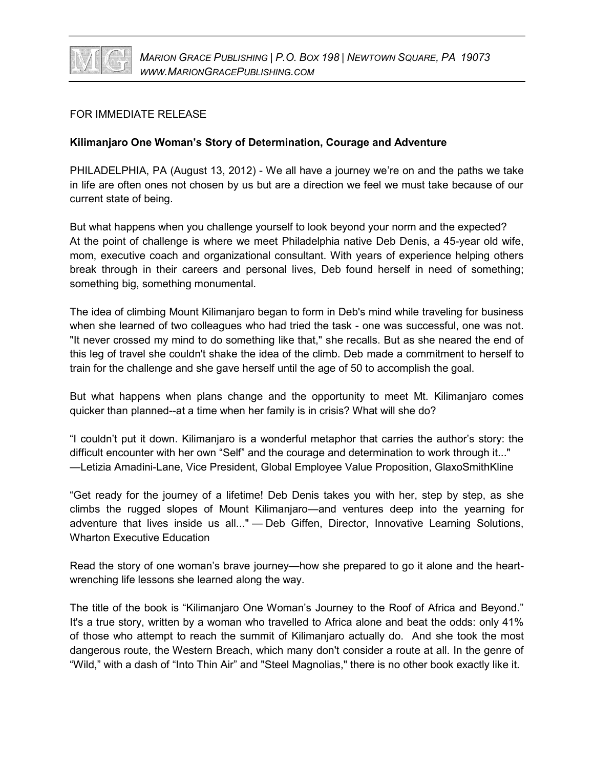

## FOR IMMEDIATE RELEASE

## **Kilimanjaro One Woman's Story of Determination, Courage and Adventure**

PHILADELPHIA, PA (August 13, 2012) - We all have a journey we're on and the paths we take in life are often ones not chosen by us but are a direction we feel we must take because of our current state of being.

But what happens when you challenge yourself to look beyond your norm and the expected? At the point of challenge is where we meet Philadelphia native Deb Denis, a 45-year old wife, mom, executive coach and organizational consultant. With years of experience helping others break through in their careers and personal lives, Deb found herself in need of something; something big, something monumental.

The idea of climbing Mount Kilimanjaro began to form in Deb's mind while traveling for business when she learned of two colleagues who had tried the task - one was successful, one was not. "It never crossed my mind to do something like that," she recalls. But as she neared the end of this leg of travel she couldn't shake the idea of the climb. Deb made a commitment to herself to train for the challenge and she gave herself until the age of 50 to accomplish the goal.

But what happens when plans change and the opportunity to meet Mt. Kilimanjaro comes quicker than planned--at a time when her family is in crisis? What will she do?

"I couldn't put it down. Kilimanjaro is a wonderful metaphor that carries the author's story: the difficult encounter with her own "Self" and the courage and determination to work through it..." —Letizia Amadini-Lane, Vice President, Global Employee Value Proposition, GlaxoSmithKline

"Get ready for the journey of a lifetime! Deb Denis takes you with her, step by step, as she climbs the rugged slopes of Mount Kilimanjaro—and ventures deep into the yearning for adventure that lives inside us all..." — Deb Giffen, Director, Innovative Learning Solutions, Wharton Executive Education

Read the story of one woman's brave journey—how she prepared to go it alone and the heartwrenching life lessons she learned along the way.

The title of the book is "Kilimanjaro One Woman's Journey to the Roof of Africa and Beyond." It's a true story, written by a woman who travelled to Africa alone and beat the odds: only 41% of those who attempt to reach the summit of Kilimanjaro actually do. And she took the most dangerous route, the Western Breach, which many don't consider a route at all. In the genre of "Wild," with a dash of "Into Thin Air" and "Steel Magnolias," there is no other book exactly like it.